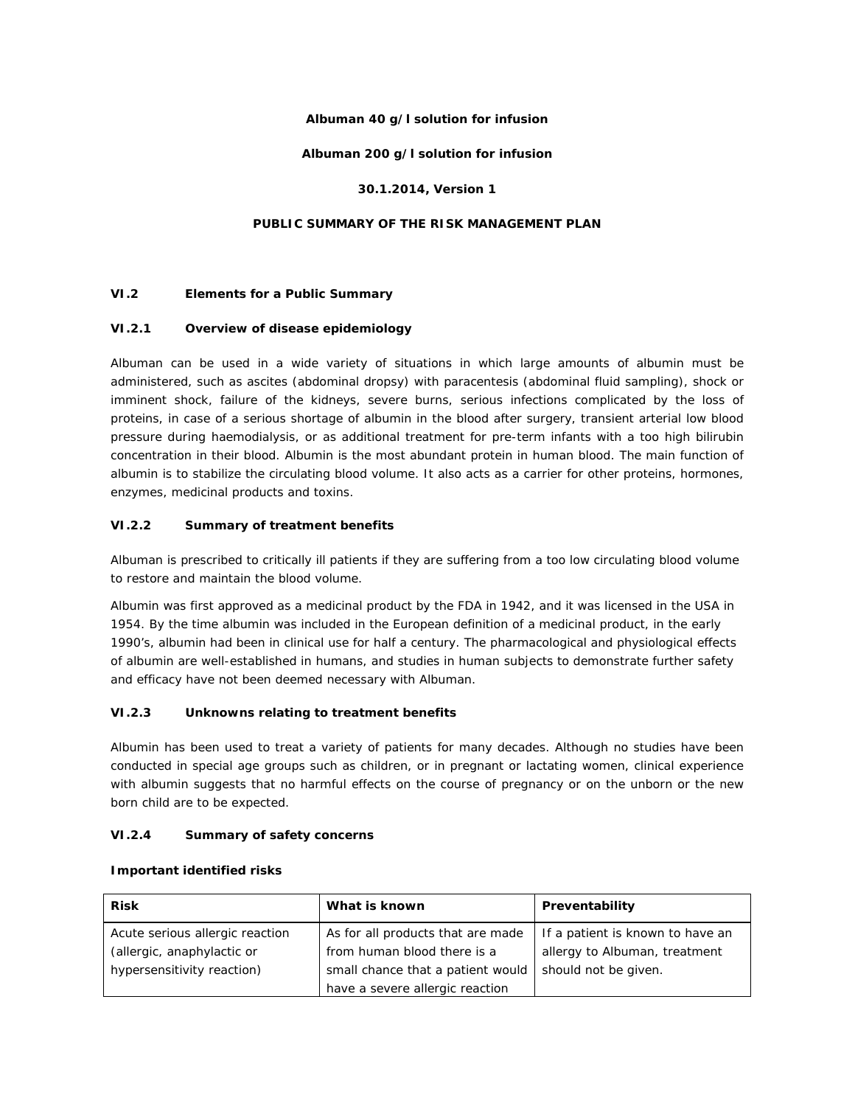## **Albuman 40 g/l solution for infusion**

## **Albuman 200 g/l solution for infusion**

#### **30.1.2014, Version 1**

# **PUBLIC SUMMARY OF THE RISK MANAGEMENT PLAN**

## **VI.2 Elements for a Public Summary**

#### *VI.2.1 Overview of disease epidemiology*

Albuman can be used in a wide variety of situations in which large amounts of albumin must be administered, such as ascites (abdominal dropsy) with paracentesis (abdominal fluid sampling), shock or imminent shock, failure of the kidneys, severe burns, serious infections complicated by the loss of proteins, in case of a serious shortage of albumin in the blood after surgery, transient arterial low blood pressure during haemodialysis, or as additional treatment for pre-term infants with a too high bilirubin concentration in their blood. Albumin is the most abundant protein in human blood. The main function of albumin is to stabilize the circulating blood volume. It also acts as a carrier for other proteins, hormones, enzymes, medicinal products and toxins.

# *VI.2.2 Summary of treatment benefits*

Albuman is prescribed to critically ill patients if they are suffering from a too low circulating blood volume to restore and maintain the blood volume.

Albumin was first approved as a medicinal product by the FDA in 1942, and it was licensed in the USA in 1954. By the time albumin was included in the European definition of a medicinal product, in the early 1990's, albumin had been in clinical use for half a century. The pharmacological and physiological effects of albumin are well-established in humans, and studies in human subjects to demonstrate further safety and efficacy have not been deemed necessary with Albuman.

# *VI.2.3 Unknowns relating to treatment benefits*

Albumin has been used to treat a variety of patients for many decades. Although no studies have been conducted in special age groups such as children, or in pregnant or lactating women, clinical experience with albumin suggests that no harmful effects on the course of pregnancy or on the unborn or the new born child are to be expected.

#### *VI.2.4 Summary of safety concerns*

| <b>Risk</b>                                                   | What is known                                                    | Preventability                                                    |
|---------------------------------------------------------------|------------------------------------------------------------------|-------------------------------------------------------------------|
| Acute serious allergic reaction<br>(allergic, anaphylactic or | As for all products that are made<br>from human blood there is a | If a patient is known to have an<br>allergy to Albuman, treatment |
| hypersensitivity reaction)                                    | small chance that a patient would                                | should not be given.                                              |
|                                                               | have a severe allergic reaction                                  |                                                                   |

#### **Important identified risks**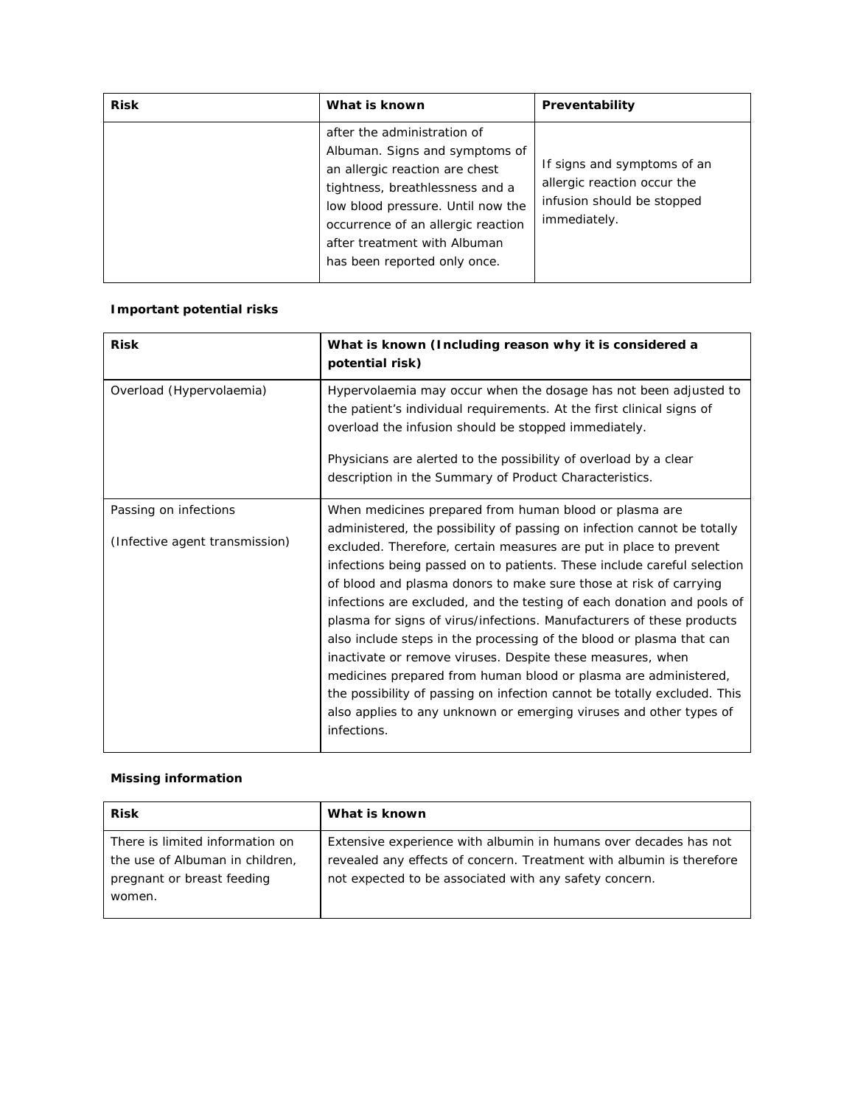| <b>Risk</b> | What is known                                                                                                                                                                                                                                                                 | Preventability                                                                                           |
|-------------|-------------------------------------------------------------------------------------------------------------------------------------------------------------------------------------------------------------------------------------------------------------------------------|----------------------------------------------------------------------------------------------------------|
|             | after the administration of<br>Albuman. Signs and symptoms of<br>an allergic reaction are chest<br>tightness, breathlessness and a<br>low blood pressure. Until now the<br>occurrence of an allergic reaction<br>after treatment with Albuman<br>has been reported only once. | If signs and symptoms of an<br>allergic reaction occur the<br>infusion should be stopped<br>immediately. |

# **Important potential risks**

| <b>Risk</b>                                             | What is known (Including reason why it is considered a<br>potential risk)                                                                                                                                                                                                                                                                                                                                                                                                                                                                                                                                                                                                                                                                                                                                                                                                           |
|---------------------------------------------------------|-------------------------------------------------------------------------------------------------------------------------------------------------------------------------------------------------------------------------------------------------------------------------------------------------------------------------------------------------------------------------------------------------------------------------------------------------------------------------------------------------------------------------------------------------------------------------------------------------------------------------------------------------------------------------------------------------------------------------------------------------------------------------------------------------------------------------------------------------------------------------------------|
| Overload (Hypervolaemia)                                | Hypervolaemia may occur when the dosage has not been adjusted to<br>the patient's individual requirements. At the first clinical signs of<br>overload the infusion should be stopped immediately.<br>Physicians are alerted to the possibility of overload by a clear<br>description in the Summary of Product Characteristics.                                                                                                                                                                                                                                                                                                                                                                                                                                                                                                                                                     |
| Passing on infections<br>(Infective agent transmission) | When medicines prepared from human blood or plasma are<br>administered, the possibility of passing on infection cannot be totally<br>excluded. Therefore, certain measures are put in place to prevent<br>infections being passed on to patients. These include careful selection<br>of blood and plasma donors to make sure those at risk of carrying<br>infections are excluded, and the testing of each donation and pools of<br>plasma for signs of virus/infections. Manufacturers of these products<br>also include steps in the processing of the blood or plasma that can<br>inactivate or remove viruses. Despite these measures, when<br>medicines prepared from human blood or plasma are administered,<br>the possibility of passing on infection cannot be totally excluded. This<br>also applies to any unknown or emerging viruses and other types of<br>infections. |

# **Missing information**

| <b>Risk</b>                     | What is known                                                        |
|---------------------------------|----------------------------------------------------------------------|
| There is limited information on | Extensive experience with albumin in humans over decades has not     |
| the use of Albuman in children, | revealed any effects of concern. Treatment with albumin is therefore |
| pregnant or breast feeding      | not expected to be associated with any safety concern.               |
| women.                          |                                                                      |
|                                 |                                                                      |